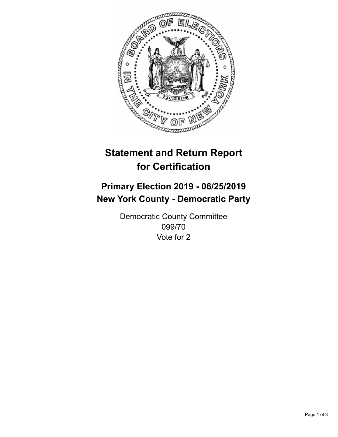

## **Statement and Return Report for Certification**

## **Primary Election 2019 - 06/25/2019 New York County - Democratic Party**

Democratic County Committee 099/70 Vote for 2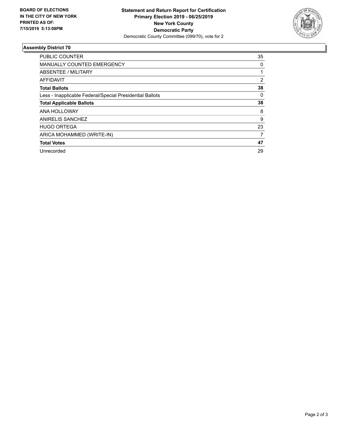

## **Assembly District 70**

| <b>PUBLIC COUNTER</b>                                    | 35 |
|----------------------------------------------------------|----|
| MANUALLY COUNTED EMERGENCY                               | 0  |
| ABSENTEE / MILITARY                                      |    |
| AFFIDAVIT                                                | 2  |
| <b>Total Ballots</b>                                     | 38 |
| Less - Inapplicable Federal/Special Presidential Ballots | 0  |
| <b>Total Applicable Ballots</b>                          | 38 |
| ANA HOLLOWAY                                             | 8  |
| ANIRELIS SANCHEZ                                         | 9  |
| <b>HUGO ORTEGA</b>                                       | 23 |
| ARICA MOHAMMED (WRITE-IN)                                | 7  |
| <b>Total Votes</b>                                       | 47 |
| Unrecorded                                               | 29 |